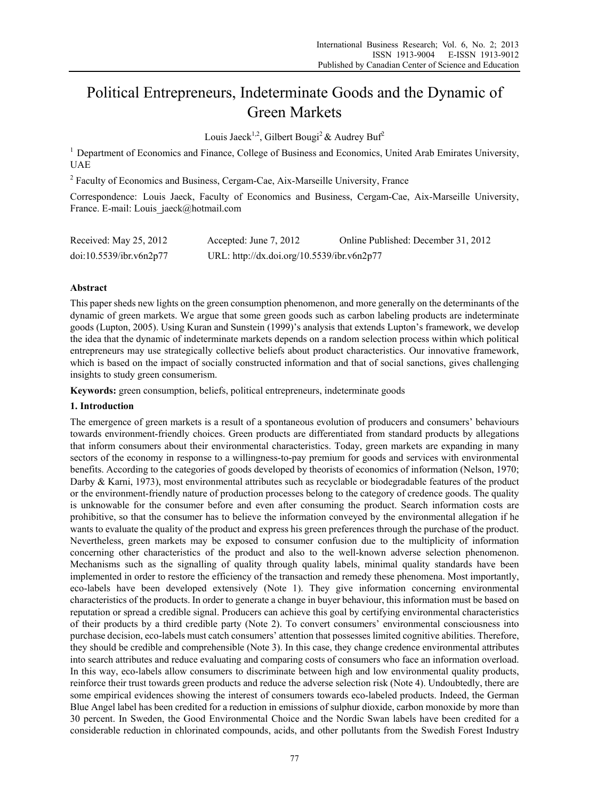# Political Entrepreneurs, Indeterminate Goods and the Dynamic of Green Markets

Louis Jaeck<sup>1,2</sup>, Gilbert Bougi<sup>2</sup> & Audrey Buf<sup>2</sup>

<sup>1</sup> Department of Economics and Finance, College of Business and Economics, United Arab Emirates University, UAE

<sup>2</sup> Faculty of Economics and Business, Cergam-Cae, Aix-Marseille University, France

Correspondence: Louis Jaeck, Faculty of Economics and Business, Cergam-Cae, Aix-Marseille University, France. E-mail: Louis\_jaeck@hotmail.com

| Received: May 25, 2012  | Accepted: June 7, 2012                     | Online Published: December 31, 2012 |
|-------------------------|--------------------------------------------|-------------------------------------|
| doi:10.5539/ibr.v6n2p77 | URL: http://dx.doi.org/10.5539/ibr.v6n2p77 |                                     |

## **Abstract**

This paper sheds new lights on the green consumption phenomenon, and more generally on the determinants of the dynamic of green markets. We argue that some green goods such as carbon labeling products are indeterminate goods (Lupton, 2005). Using Kuran and Sunstein (1999)'s analysis that extends Lupton's framework, we develop the idea that the dynamic of indeterminate markets depends on a random selection process within which political entrepreneurs may use strategically collective beliefs about product characteristics. Our innovative framework, which is based on the impact of socially constructed information and that of social sanctions, gives challenging insights to study green consumerism.

**Keywords:** green consumption, beliefs, political entrepreneurs, indeterminate goods

## **1. Introduction**

The emergence of green markets is a result of a spontaneous evolution of producers and consumers' behaviours towards environment-friendly choices. Green products are differentiated from standard products by allegations that inform consumers about their environmental characteristics. Today, green markets are expanding in many sectors of the economy in response to a willingness-to-pay premium for goods and services with environmental benefits. According to the categories of goods developed by theorists of economics of information (Nelson, 1970; Darby & Karni, 1973), most environmental attributes such as recyclable or biodegradable features of the product or the environment-friendly nature of production processes belong to the category of credence goods. The quality is unknowable for the consumer before and even after consuming the product. Search information costs are prohibitive, so that the consumer has to believe the information conveyed by the environmental allegation if he wants to evaluate the quality of the product and express his green preferences through the purchase of the product. Nevertheless, green markets may be exposed to consumer confusion due to the multiplicity of information concerning other characteristics of the product and also to the well-known adverse selection phenomenon. Mechanisms such as the signalling of quality through quality labels, minimal quality standards have been implemented in order to restore the efficiency of the transaction and remedy these phenomena. Most importantly, eco-labels have been developed extensively (Note 1). They give information concerning environmental characteristics of the products. In order to generate a change in buyer behaviour, this information must be based on reputation or spread a credible signal. Producers can achieve this goal by certifying environmental characteristics of their products by a third credible party (Note 2). To convert consumers' environmental consciousness into purchase decision, eco-labels must catch consumers' attention that possesses limited cognitive abilities. Therefore, they should be credible and comprehensible (Note 3). In this case, they change credence environmental attributes into search attributes and reduce evaluating and comparing costs of consumers who face an information overload. In this way, eco-labels allow consumers to discriminate between high and low environmental quality products, reinforce their trust towards green products and reduce the adverse selection risk (Note 4). Undoubtedly, there are some empirical evidences showing the interest of consumers towards eco-labeled products. Indeed, the German Blue Angel label has been credited for a reduction in emissions of sulphur dioxide, carbon monoxide by more than 30 percent. In Sweden, the Good Environmental Choice and the Nordic Swan labels have been credited for a considerable reduction in chlorinated compounds, acids, and other pollutants from the Swedish Forest Industry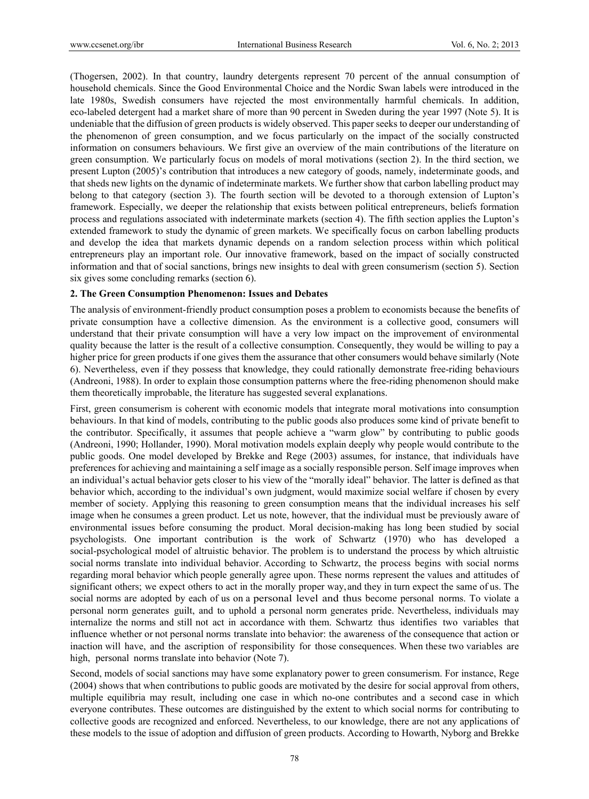(Thogersen, 2002). In that country, laundry detergents represent 70 percent of the annual consumption of household chemicals. Since the Good Environmental Choice and the Nordic Swan labels were introduced in the late 1980s, Swedish consumers have rejected the most environmentally harmful chemicals. In addition, eco-labeled detergent had a market share of more than 90 percent in Sweden during the year 1997 (Note 5). It is undeniable that the diffusion of green products is widely observed. This paper seeks to deeper our understanding of the phenomenon of green consumption, and we focus particularly on the impact of the socially constructed information on consumers behaviours. We first give an overview of the main contributions of the literature on green consumption. We particularly focus on models of moral motivations (section 2). In the third section, we present Lupton (2005)'s contribution that introduces a new category of goods, namely, indeterminate goods, and that sheds new lights on the dynamic of indeterminate markets. We further show that carbon labelling product may belong to that category (section 3). The fourth section will be devoted to a thorough extension of Lupton's framework. Especially, we deeper the relationship that exists between political entrepreneurs, beliefs formation process and regulations associated with indeterminate markets (section 4). The fifth section applies the Lupton's extended framework to study the dynamic of green markets. We specifically focus on carbon labelling products and develop the idea that markets dynamic depends on a random selection process within which political entrepreneurs play an important role. Our innovative framework, based on the impact of socially constructed information and that of social sanctions, brings new insights to deal with green consumerism (section 5). Section six gives some concluding remarks (section 6).

## **2. The Green Consumption Phenomenon: Issues and Debates**

The analysis of environment-friendly product consumption poses a problem to economists because the benefits of private consumption have a collective dimension. As the environment is a collective good, consumers will understand that their private consumption will have a very low impact on the improvement of environmental quality because the latter is the result of a collective consumption. Consequently, they would be willing to pay a higher price for green products if one gives them the assurance that other consumers would behave similarly (Note 6). Nevertheless, even if they possess that knowledge, they could rationally demonstrate free-riding behaviours (Andreoni, 1988). In order to explain those consumption patterns where the free-riding phenomenon should make them theoretically improbable, the literature has suggested several explanations.

First, green consumerism is coherent with economic models that integrate moral motivations into consumption behaviours. In that kind of models, contributing to the public goods also produces some kind of private benefit to the contributor. Specifically, it assumes that people achieve a "warm glow" by contributing to public goods (Andreoni, 1990; Hollander, 1990). Moral motivation models explain deeply why people would contribute to the public goods. One model developed by Brekke and Rege (2003) assumes, for instance, that individuals have preferences for achieving and maintaining a self image as a socially responsible person. Self image improves when an individual's actual behavior gets closer to his view of the "morally ideal" behavior. The latter is defined as that behavior which, according to the individual's own judgment, would maximize social welfare if chosen by every member of society. Applying this reasoning to green consumption means that the individual increases his self image when he consumes a green product. Let us note, however, that the individual must be previously aware of environmental issues before consuming the product. Moral decision-making has long been studied by social psychologists. One important contribution is the work of Schwartz (1970) who has developed a social-psychological model of altruistic behavior. The problem is to understand the process by which altruistic social norms translate into individual behavior. According to Schwartz, the process begins with social norms regarding moral behavior which people generally agree upon. These norms represent the values and attitudes of significant others; we expect others to act in the morally proper way, and they in turn expect the same of us. The social norms are adopted by each of us on a personal level and thus become personal norms. To violate a personal norm generates guilt, and to uphold a personal norm generates pride. Nevertheless, individuals may internalize the norms and still not act in accordance with them. Schwartz thus identifies two variables that influence whether or not personal norms translate into behavior: the awareness of the consequence that action or inaction will have, and the ascription of responsibility for those consequences. When these two variables are high, personal norms translate into behavior (Note 7).

Second, models of social sanctions may have some explanatory power to green consumerism. For instance, Rege (2004) shows that when contributions to public goods are motivated by the desire for social approval from others, multiple equilibria may result, including one case in which no-one contributes and a second case in which everyone contributes. These outcomes are distinguished by the extent to which social norms for contributing to collective goods are recognized and enforced. Nevertheless, to our knowledge, there are not any applications of these models to the issue of adoption and diffusion of green products. According to Howarth, Nyborg and Brekke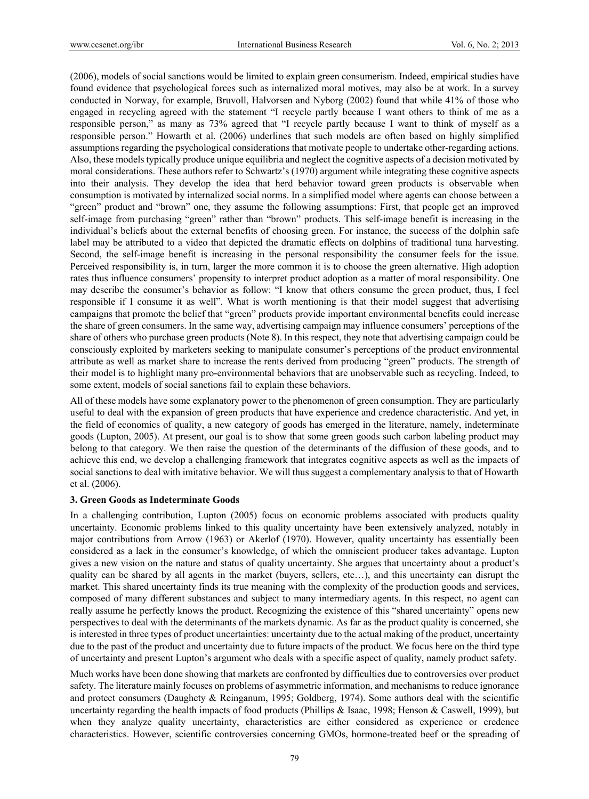(2006), models of social sanctions would be limited to explain green consumerism. Indeed, empirical studies have found evidence that psychological forces such as internalized moral motives, may also be at work. In a survey conducted in Norway, for example, Bruvoll, Halvorsen and Nyborg (2002) found that while 41% of those who engaged in recycling agreed with the statement "I recycle partly because I want others to think of me as a responsible person," as many as 73% agreed that "I recycle partly because I want to think of myself as a responsible person." Howarth et al. (2006) underlines that such models are often based on highly simplified assumptions regarding the psychological considerations that motivate people to undertake other-regarding actions. Also, these models typically produce unique equilibria and neglect the cognitive aspects of a decision motivated by moral considerations. These authors refer to Schwartz's (1970) argument while integrating these cognitive aspects into their analysis. They develop the idea that herd behavior toward green products is observable when consumption is motivated by internalized social norms. In a simplified model where agents can choose between a "green" product and "brown" one, they assume the following assumptions: First, that people get an improved self-image from purchasing "green" rather than "brown" products. This self-image benefit is increasing in the individual's beliefs about the external benefits of choosing green. For instance, the success of the dolphin safe label may be attributed to a video that depicted the dramatic effects on dolphins of traditional tuna harvesting. Second, the self-image benefit is increasing in the personal responsibility the consumer feels for the issue. Perceived responsibility is, in turn, larger the more common it is to choose the green alternative. High adoption rates thus influence consumers' propensity to interpret product adoption as a matter of moral responsibility. One may describe the consumer's behavior as follow: "I know that others consume the green product, thus, I feel responsible if I consume it as well". What is worth mentioning is that their model suggest that advertising campaigns that promote the belief that "green" products provide important environmental benefits could increase the share of green consumers. In the same way, advertising campaign may influence consumers' perceptions of the share of others who purchase green products (Note 8). In this respect, they note that advertising campaign could be consciously exploited by marketers seeking to manipulate consumer's perceptions of the product environmental attribute as well as market share to increase the rents derived from producing "green" products. The strength of their model is to highlight many pro-environmental behaviors that are unobservable such as recycling. Indeed, to some extent, models of social sanctions fail to explain these behaviors.

All of these models have some explanatory power to the phenomenon of green consumption. They are particularly useful to deal with the expansion of green products that have experience and credence characteristic. And yet, in the field of economics of quality, a new category of goods has emerged in the literature, namely, indeterminate goods (Lupton, 2005). At present, our goal is to show that some green goods such carbon labeling product may belong to that category. We then raise the question of the determinants of the diffusion of these goods, and to achieve this end, we develop a challenging framework that integrates cognitive aspects as well as the impacts of social sanctions to deal with imitative behavior. We will thus suggest a complementary analysis to that of Howarth et al. (2006).

## **3. Green Goods as Indeterminate Goods**

In a challenging contribution, Lupton (2005) focus on economic problems associated with products quality uncertainty. Economic problems linked to this quality uncertainty have been extensively analyzed, notably in major contributions from Arrow (1963) or Akerlof (1970). However, quality uncertainty has essentially been considered as a lack in the consumer's knowledge, of which the omniscient producer takes advantage. Lupton gives a new vision on the nature and status of quality uncertainty. She argues that uncertainty about a product's quality can be shared by all agents in the market (buyers, sellers, etc…), and this uncertainty can disrupt the market. This shared uncertainty finds its true meaning with the complexity of the production goods and services, composed of many different substances and subject to many intermediary agents. In this respect, no agent can really assume he perfectly knows the product. Recognizing the existence of this "shared uncertainty" opens new perspectives to deal with the determinants of the markets dynamic. As far as the product quality is concerned, she is interested in three types of product uncertainties: uncertainty due to the actual making of the product, uncertainty due to the past of the product and uncertainty due to future impacts of the product. We focus here on the third type of uncertainty and present Lupton's argument who deals with a specific aspect of quality, namely product safety.

Much works have been done showing that markets are confronted by difficulties due to controversies over product safety. The literature mainly focuses on problems of asymmetric information, and mechanisms to reduce ignorance and protect consumers (Daughety & Reinganum, 1995; Goldberg, 1974). Some authors deal with the scientific uncertainty regarding the health impacts of food products (Phillips & Isaac, 1998; Henson & Caswell, 1999), but when they analyze quality uncertainty, characteristics are either considered as experience or credence characteristics. However, scientific controversies concerning GMOs, hormone-treated beef or the spreading of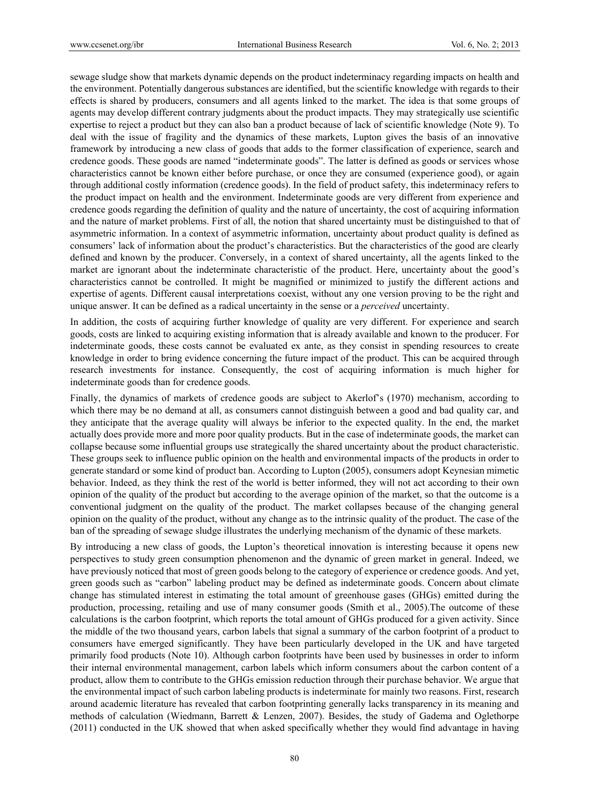sewage sludge show that markets dynamic depends on the product indeterminacy regarding impacts on health and the environment. Potentially dangerous substances are identified, but the scientific knowledge with regards to their effects is shared by producers, consumers and all agents linked to the market. The idea is that some groups of agents may develop different contrary judgments about the product impacts. They may strategically use scientific expertise to reject a product but they can also ban a product because of lack of scientific knowledge (Note 9). To deal with the issue of fragility and the dynamics of these markets, Lupton gives the basis of an innovative framework by introducing a new class of goods that adds to the former classification of experience, search and credence goods. These goods are named "indeterminate goods". The latter is defined as goods or services whose characteristics cannot be known either before purchase, or once they are consumed (experience good), or again through additional costly information (credence goods). In the field of product safety, this indeterminacy refers to the product impact on health and the environment. Indeterminate goods are very different from experience and credence goods regarding the definition of quality and the nature of uncertainty, the cost of acquiring information and the nature of market problems. First of all, the notion that shared uncertainty must be distinguished to that of asymmetric information. In a context of asymmetric information, uncertainty about product quality is defined as consumers' lack of information about the product's characteristics. But the characteristics of the good are clearly defined and known by the producer. Conversely, in a context of shared uncertainty, all the agents linked to the market are ignorant about the indeterminate characteristic of the product. Here, uncertainty about the good's characteristics cannot be controlled. It might be magnified or minimized to justify the different actions and expertise of agents. Different causal interpretations coexist, without any one version proving to be the right and unique answer. It can be defined as a radical uncertainty in the sense or a *perceived* uncertainty.

In addition, the costs of acquiring further knowledge of quality are very different. For experience and search goods, costs are linked to acquiring existing information that is already available and known to the producer. For indeterminate goods, these costs cannot be evaluated ex ante, as they consist in spending resources to create knowledge in order to bring evidence concerning the future impact of the product. This can be acquired through research investments for instance. Consequently, the cost of acquiring information is much higher for indeterminate goods than for credence goods.

Finally, the dynamics of markets of credence goods are subject to Akerlof's (1970) mechanism, according to which there may be no demand at all, as consumers cannot distinguish between a good and bad quality car, and they anticipate that the average quality will always be inferior to the expected quality. In the end, the market actually does provide more and more poor quality products. But in the case of indeterminate goods, the market can collapse because some influential groups use strategically the shared uncertainty about the product characteristic. These groups seek to influence public opinion on the health and environmental impacts of the products in order to generate standard or some kind of product ban. According to Lupton (2005), consumers adopt Keynesian mimetic behavior. Indeed, as they think the rest of the world is better informed, they will not act according to their own opinion of the quality of the product but according to the average opinion of the market, so that the outcome is a conventional judgment on the quality of the product. The market collapses because of the changing general opinion on the quality of the product, without any change as to the intrinsic quality of the product. The case of the ban of the spreading of sewage sludge illustrates the underlying mechanism of the dynamic of these markets.

By introducing a new class of goods, the Lupton's theoretical innovation is interesting because it opens new perspectives to study green consumption phenomenon and the dynamic of green market in general. Indeed, we have previously noticed that most of green goods belong to the category of experience or credence goods. And yet, green goods such as "carbon" labeling product may be defined as indeterminate goods. Concern about climate change has stimulated interest in estimating the total amount of greenhouse gases (GHGs) emitted during the production, processing, retailing and use of many consumer goods (Smith et al., 2005).The outcome of these calculations is the carbon footprint, which reports the total amount of GHGs produced for a given activity. Since the middle of the two thousand years, carbon labels that signal a summary of the carbon footprint of a product to consumers have emerged significantly. They have been particularly developed in the UK and have targeted primarily food products (Note 10). Although carbon footprints have been used by businesses in order to inform their internal environmental management, carbon labels which inform consumers about the carbon content of a product, allow them to contribute to the GHGs emission reduction through their purchase behavior. We argue that the environmental impact of such carbon labeling products is indeterminate for mainly two reasons. First, research around academic literature has revealed that carbon footprinting generally lacks transparency in its meaning and methods of calculation (Wiedmann, Barrett & Lenzen, 2007). Besides, the study of Gadema and Oglethorpe (2011) conducted in the UK showed that when asked specifically whether they would find advantage in having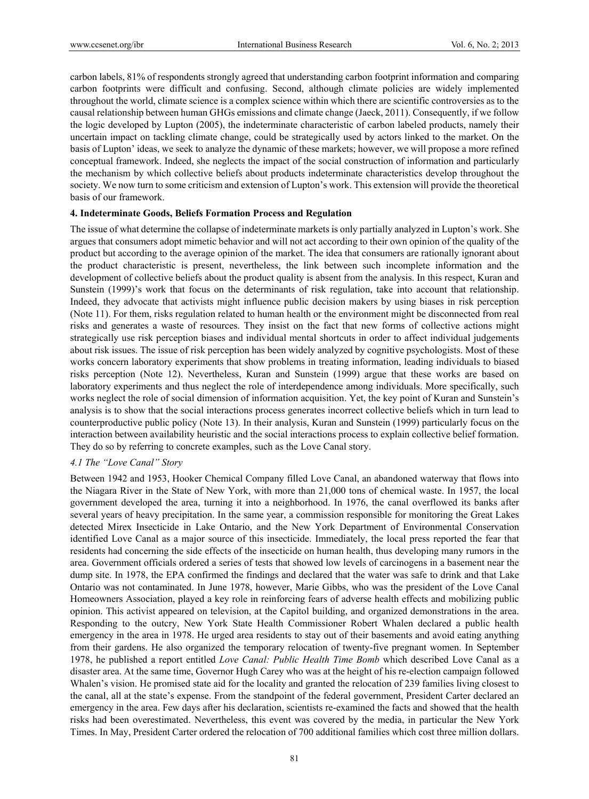carbon labels, 81% of respondents strongly agreed that understanding carbon footprint information and comparing carbon footprints were difficult and confusing. Second, although climate policies are widely implemented throughout the world, climate science is a complex science within which there are scientific controversies as to the causal relationship between human GHGs emissions and climate change (Jaeck, 2011). Consequently, if we follow the logic developed by Lupton (2005), the indeterminate characteristic of carbon labeled products, namely their uncertain impact on tackling climate change, could be strategically used by actors linked to the market. On the basis of Lupton' ideas, we seek to analyze the dynamic of these markets; however, we will propose a more refined conceptual framework. Indeed, she neglects the impact of the social construction of information and particularly the mechanism by which collective beliefs about products indeterminate characteristics develop throughout the society. We now turn to some criticism and extension of Lupton's work. This extension will provide the theoretical basis of our framework.

#### **4. Indeterminate Goods, Beliefs Formation Process and Regulation**

The issue of what determine the collapse of indeterminate markets is only partially analyzed in Lupton's work. She argues that consumers adopt mimetic behavior and will not act according to their own opinion of the quality of the product but according to the average opinion of the market. The idea that consumers are rationally ignorant about the product characteristic is present, nevertheless, the link between such incomplete information and the development of collective beliefs about the product quality is absent from the analysis. In this respect, Kuran and Sunstein (1999)'s work that focus on the determinants of risk regulation, take into account that relationship. Indeed, they advocate that activists might influence public decision makers by using biases in risk perception (Note 11). For them, risks regulation related to human health or the environment might be disconnected from real risks and generates a waste of resources. They insist on the fact that new forms of collective actions might strategically use risk perception biases and individual mental shortcuts in order to affect individual judgements about risk issues. The issue of risk perception has been widely analyzed by cognitive psychologists. Most of these works concern laboratory experiments that show problems in treating information, leading individuals to biased risks perception (Note 12). Nevertheless, Kuran and Sunstein (1999) argue that these works are based on laboratory experiments and thus neglect the role of interdependence among individuals. More specifically, such works neglect the role of social dimension of information acquisition. Yet, the key point of Kuran and Sunstein's analysis is to show that the social interactions process generates incorrect collective beliefs which in turn lead to counterproductive public policy (Note 13). In their analysis, Kuran and Sunstein (1999) particularly focus on the interaction between availability heuristic and the social interactions process to explain collective belief formation. They do so by referring to concrete examples, such as the Love Canal story.

## *4.1 The "Love Canal" Story*

Between 1942 and 1953, Hooker Chemical Company filled Love Canal, an abandoned waterway that flows into the Niagara River in the State of New York, with more than 21,000 tons of chemical waste. In 1957, the local government developed the area, turning it into a neighborhood. In 1976, the canal overflowed its banks after several years of heavy precipitation. In the same year, a commission responsible for monitoring the Great Lakes detected Mirex Insecticide in Lake Ontario, and the New York Department of Environmental Conservation identified Love Canal as a major source of this insecticide. Immediately, the local press reported the fear that residents had concerning the side effects of the insecticide on human health, thus developing many rumors in the area. Government officials ordered a series of tests that showed low levels of carcinogens in a basement near the dump site. In 1978, the EPA confirmed the findings and declared that the water was safe to drink and that Lake Ontario was not contaminated. In June 1978, however, Marie Gibbs, who was the president of the Love Canal Homeowners Association, played a key role in reinforcing fears of adverse health effects and mobilizing public opinion. This activist appeared on television, at the Capitol building, and organized demonstrations in the area. Responding to the outcry, New York State Health Commissioner Robert Whalen declared a public health emergency in the area in 1978. He urged area residents to stay out of their basements and avoid eating anything from their gardens. He also organized the temporary relocation of twenty-five pregnant women. In September 1978, he published a report entitled *Love Canal: Public Health Time Bomb* which described Love Canal as a disaster area. At the same time, Governor Hugh Carey who was at the height of his re-election campaign followed Whalen's vision. He promised state aid for the locality and granted the relocation of 239 families living closest to the canal, all at the state's expense. From the standpoint of the federal government, President Carter declared an emergency in the area. Few days after his declaration, scientists re-examined the facts and showed that the health risks had been overestimated. Nevertheless, this event was covered by the media, in particular the New York Times. In May, President Carter ordered the relocation of 700 additional families which cost three million dollars.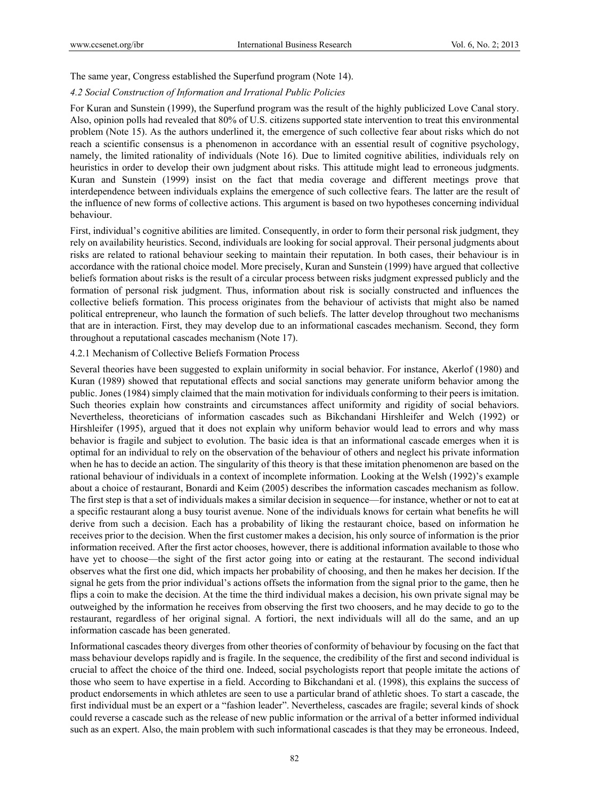The same year, Congress established the Superfund program (Note 14).

## *4.2 Social Construction of Information and Irrational Public Policies*

For Kuran and Sunstein (1999), the Superfund program was the result of the highly publicized Love Canal story. Also, opinion polls had revealed that 80% of U.S. citizens supported state intervention to treat this environmental problem (Note 15). As the authors underlined it, the emergence of such collective fear about risks which do not reach a scientific consensus is a phenomenon in accordance with an essential result of cognitive psychology, namely, the limited rationality of individuals (Note 16). Due to limited cognitive abilities, individuals rely on heuristics in order to develop their own judgment about risks. This attitude might lead to erroneous judgments. Kuran and Sunstein (1999) insist on the fact that media coverage and different meetings prove that interdependence between individuals explains the emergence of such collective fears. The latter are the result of the influence of new forms of collective actions. This argument is based on two hypotheses concerning individual behaviour.

First, individual's cognitive abilities are limited. Consequently, in order to form their personal risk judgment, they rely on availability heuristics. Second, individuals are looking for social approval. Their personal judgments about risks are related to rational behaviour seeking to maintain their reputation. In both cases, their behaviour is in accordance with the rational choice model. More precisely, Kuran and Sunstein (1999) have argued that collective beliefs formation about risks is the result of a circular process between risks judgment expressed publicly and the formation of personal risk judgment. Thus, information about risk is socially constructed and influences the collective beliefs formation. This process originates from the behaviour of activists that might also be named political entrepreneur, who launch the formation of such beliefs. The latter develop throughout two mechanisms that are in interaction. First, they may develop due to an informational cascades mechanism. Second, they form throughout a reputational cascades mechanism (Note 17).

## 4.2.1 Mechanism of Collective Beliefs Formation Process

Several theories have been suggested to explain uniformity in social behavior. For instance, Akerlof (1980) and Kuran (1989) showed that reputational effects and social sanctions may generate uniform behavior among the public. Jones (1984) simply claimed that the main motivation for individuals conforming to their peers is imitation. Such theories explain how constraints and circumstances affect uniformity and rigidity of social behaviors. Nevertheless, theoreticians of information cascades such as Bikchandani Hirshleifer and Welch (1992) or Hirshleifer (1995), argued that it does not explain why uniform behavior would lead to errors and why mass behavior is fragile and subject to evolution. The basic idea is that an informational cascade emerges when it is optimal for an individual to rely on the observation of the behaviour of others and neglect his private information when he has to decide an action. The singularity of this theory is that these imitation phenomenon are based on the rational behaviour of individuals in a context of incomplete information. Looking at the Welsh (1992)'s example about a choice of restaurant, Bonardi and Keim (2005) describes the information cascades mechanism as follow. The first step is that a set of individuals makes a similar decision in sequence—for instance, whether or not to eat at a specific restaurant along a busy tourist avenue. None of the individuals knows for certain what benefits he will derive from such a decision. Each has a probability of liking the restaurant choice, based on information he receives prior to the decision. When the first customer makes a decision, his only source of information is the prior information received. After the first actor chooses, however, there is additional information available to those who have yet to choose—the sight of the first actor going into or eating at the restaurant. The second individual observes what the first one did, which impacts her probability of choosing, and then he makes her decision. If the signal he gets from the prior individual's actions offsets the information from the signal prior to the game, then he flips a coin to make the decision. At the time the third individual makes a decision, his own private signal may be outweighed by the information he receives from observing the first two choosers, and he may decide to go to the restaurant, regardless of her original signal. A fortiori, the next individuals will all do the same, and an up information cascade has been generated.

Informational cascades theory diverges from other theories of conformity of behaviour by focusing on the fact that mass behaviour develops rapidly and is fragile. In the sequence, the credibility of the first and second individual is crucial to affect the choice of the third one. Indeed, social psychologists report that people imitate the actions of those who seem to have expertise in a field. According to Bikchandani et al. (1998), this explains the success of product endorsements in which athletes are seen to use a particular brand of athletic shoes. To start a cascade, the first individual must be an expert or a "fashion leader". Nevertheless, cascades are fragile; several kinds of shock could reverse a cascade such as the release of new public information or the arrival of a better informed individual such as an expert. Also, the main problem with such informational cascades is that they may be erroneous. Indeed,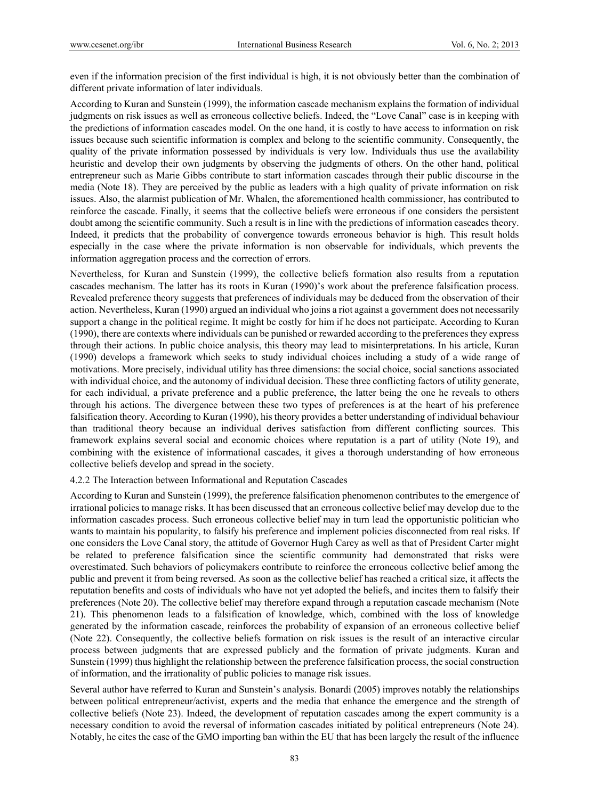even if the information precision of the first individual is high, it is not obviously better than the combination of different private information of later individuals.

According to Kuran and Sunstein (1999), the information cascade mechanism explains the formation of individual judgments on risk issues as well as erroneous collective beliefs. Indeed, the "Love Canal" case is in keeping with the predictions of information cascades model. On the one hand, it is costly to have access to information on risk issues because such scientific information is complex and belong to the scientific community. Consequently, the quality of the private information possessed by individuals is very low. Individuals thus use the availability heuristic and develop their own judgments by observing the judgments of others. On the other hand, political entrepreneur such as Marie Gibbs contribute to start information cascades through their public discourse in the media (Note 18). They are perceived by the public as leaders with a high quality of private information on risk issues. Also, the alarmist publication of Mr. Whalen, the aforementioned health commissioner, has contributed to reinforce the cascade. Finally, it seems that the collective beliefs were erroneous if one considers the persistent doubt among the scientific community. Such a result is in line with the predictions of information cascades theory. Indeed, it predicts that the probability of convergence towards erroneous behavior is high. This result holds especially in the case where the private information is non observable for individuals, which prevents the information aggregation process and the correction of errors.

Nevertheless, for Kuran and Sunstein (1999), the collective beliefs formation also results from a reputation cascades mechanism. The latter has its roots in Kuran (1990)'s work about the preference falsification process. Revealed preference theory suggests that preferences of individuals may be deduced from the observation of their action. Nevertheless, Kuran (1990) argued an individual who joins a riot against a government does not necessarily support a change in the political regime. It might be costly for him if he does not participate. According to Kuran (1990), there are contexts where individuals can be punished or rewarded according to the preferences they express through their actions. In public choice analysis, this theory may lead to misinterpretations. In his article, Kuran (1990) develops a framework which seeks to study individual choices including a study of a wide range of motivations. More precisely, individual utility has three dimensions: the social choice, social sanctions associated with individual choice, and the autonomy of individual decision. These three conflicting factors of utility generate, for each individual, a private preference and a public preference, the latter being the one he reveals to others through his actions. The divergence between these two types of preferences is at the heart of his preference falsification theory. According to Kuran (1990), his theory provides a better understanding of individual behaviour than traditional theory because an individual derives satisfaction from different conflicting sources. This framework explains several social and economic choices where reputation is a part of utility (Note 19), and combining with the existence of informational cascades, it gives a thorough understanding of how erroneous collective beliefs develop and spread in the society.

## 4.2.2 The Interaction between Informational and Reputation Cascades

According to Kuran and Sunstein (1999), the preference falsification phenomenon contributes to the emergence of irrational policies to manage risks. It has been discussed that an erroneous collective belief may develop due to the information cascades process. Such erroneous collective belief may in turn lead the opportunistic politician who wants to maintain his popularity, to falsify his preference and implement policies disconnected from real risks. If one considers the Love Canal story, the attitude of Governor Hugh Carey as well as that of President Carter might be related to preference falsification since the scientific community had demonstrated that risks were overestimated. Such behaviors of policymakers contribute to reinforce the erroneous collective belief among the public and prevent it from being reversed. As soon as the collective belief has reached a critical size, it affects the reputation benefits and costs of individuals who have not yet adopted the beliefs, and incites them to falsify their preferences (Note 20). The collective belief may therefore expand through a reputation cascade mechanism (Note 21). This phenomenon leads to a falsification of knowledge, which, combined with the loss of knowledge generated by the information cascade, reinforces the probability of expansion of an erroneous collective belief (Note 22). Consequently, the collective beliefs formation on risk issues is the result of an interactive circular process between judgments that are expressed publicly and the formation of private judgments. Kuran and Sunstein (1999) thus highlight the relationship between the preference falsification process, the social construction of information, and the irrationality of public policies to manage risk issues.

Several author have referred to Kuran and Sunstein's analysis. Bonardi (2005) improves notably the relationships between political entrepreneur/activist, experts and the media that enhance the emergence and the strength of collective beliefs (Note 23). Indeed, the development of reputation cascades among the expert community is a necessary condition to avoid the reversal of information cascades initiated by political entrepreneurs (Note 24). Notably, he cites the case of the GMO importing ban within the EU that has been largely the result of the influence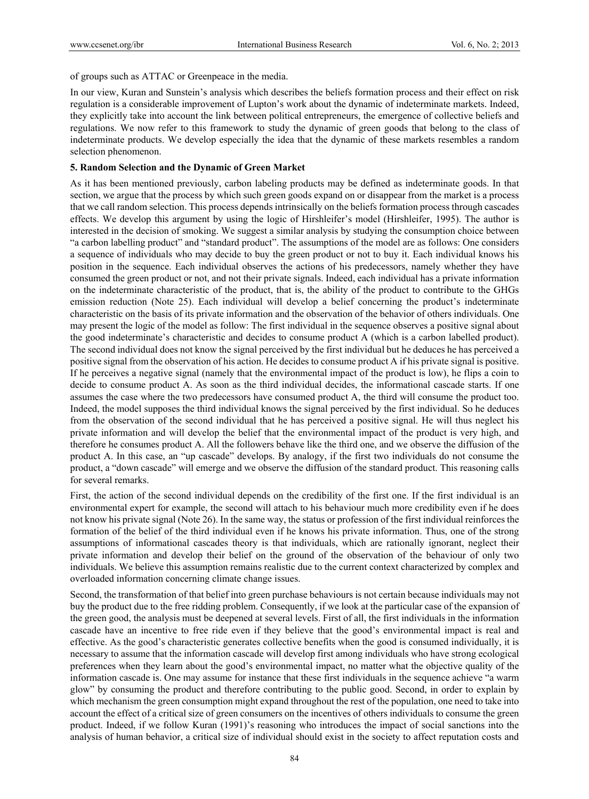of groups such as ATTAC or Greenpeace in the media.

In our view, Kuran and Sunstein's analysis which describes the beliefs formation process and their effect on risk regulation is a considerable improvement of Lupton's work about the dynamic of indeterminate markets. Indeed, they explicitly take into account the link between political entrepreneurs, the emergence of collective beliefs and regulations. We now refer to this framework to study the dynamic of green goods that belong to the class of indeterminate products. We develop especially the idea that the dynamic of these markets resembles a random selection phenomenon.

## **5. Random Selection and the Dynamic of Green Market**

As it has been mentioned previously, carbon labeling products may be defined as indeterminate goods. In that section, we argue that the process by which such green goods expand on or disappear from the market is a process that we call random selection. This process depends intrinsically on the beliefs formation process through cascades effects. We develop this argument by using the logic of Hirshleifer's model (Hirshleifer, 1995). The author is interested in the decision of smoking. We suggest a similar analysis by studying the consumption choice between "a carbon labelling product" and "standard product". The assumptions of the model are as follows: One considers a sequence of individuals who may decide to buy the green product or not to buy it. Each individual knows his position in the sequence. Each individual observes the actions of his predecessors, namely whether they have consumed the green product or not, and not their private signals. Indeed, each individual has a private information on the indeterminate characteristic of the product, that is, the ability of the product to contribute to the GHGs emission reduction (Note 25). Each individual will develop a belief concerning the product's indeterminate characteristic on the basis of its private information and the observation of the behavior of others individuals. One may present the logic of the model as follow: The first individual in the sequence observes a positive signal about the good indeterminate's characteristic and decides to consume product A (which is a carbon labelled product). The second individual does not know the signal perceived by the first individual but he deduces he has perceived a positive signal from the observation of his action. He decides to consume product A if his private signal is positive. If he perceives a negative signal (namely that the environmental impact of the product is low), he flips a coin to decide to consume product A. As soon as the third individual decides, the informational cascade starts. If one assumes the case where the two predecessors have consumed product A, the third will consume the product too. Indeed, the model supposes the third individual knows the signal perceived by the first individual. So he deduces from the observation of the second individual that he has perceived a positive signal. He will thus neglect his private information and will develop the belief that the environmental impact of the product is very high, and therefore he consumes product A. All the followers behave like the third one, and we observe the diffusion of the product A. In this case, an "up cascade" develops. By analogy, if the first two individuals do not consume the product, a "down cascade" will emerge and we observe the diffusion of the standard product. This reasoning calls for several remarks.

First, the action of the second individual depends on the credibility of the first one. If the first individual is an environmental expert for example, the second will attach to his behaviour much more credibility even if he does not know his private signal (Note 26). In the same way, the status or profession of the first individual reinforces the formation of the belief of the third individual even if he knows his private information. Thus, one of the strong assumptions of informational cascades theory is that individuals, which are rationally ignorant, neglect their private information and develop their belief on the ground of the observation of the behaviour of only two individuals. We believe this assumption remains realistic due to the current context characterized by complex and overloaded information concerning climate change issues.

Second, the transformation of that belief into green purchase behaviours is not certain because individuals may not buy the product due to the free ridding problem. Consequently, if we look at the particular case of the expansion of the green good, the analysis must be deepened at several levels. First of all, the first individuals in the information cascade have an incentive to free ride even if they believe that the good's environmental impact is real and effective. As the good's characteristic generates collective benefits when the good is consumed individually, it is necessary to assume that the information cascade will develop first among individuals who have strong ecological preferences when they learn about the good's environmental impact, no matter what the objective quality of the information cascade is. One may assume for instance that these first individuals in the sequence achieve "a warm glow" by consuming the product and therefore contributing to the public good. Second, in order to explain by which mechanism the green consumption might expand throughout the rest of the population, one need to take into account the effect of a critical size of green consumers on the incentives of others individuals to consume the green product. Indeed, if we follow Kuran (1991)'s reasoning who introduces the impact of social sanctions into the analysis of human behavior, a critical size of individual should exist in the society to affect reputation costs and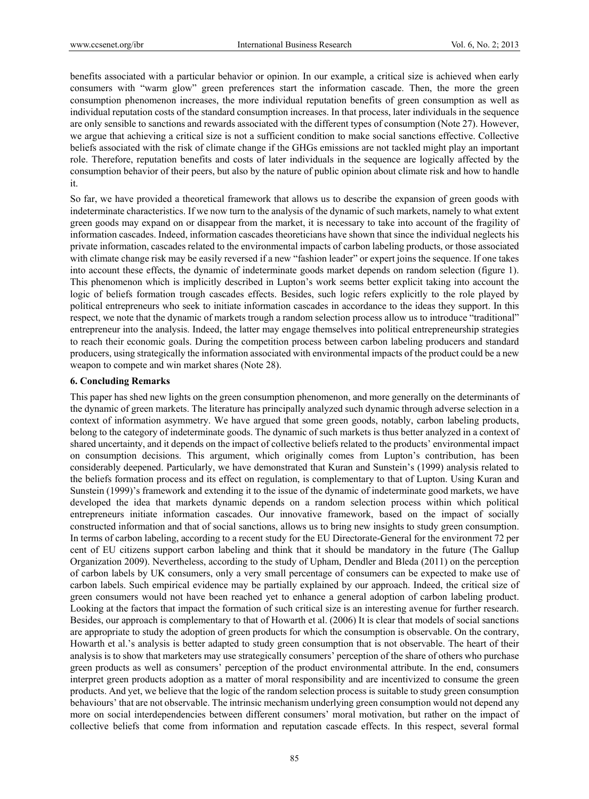benefits associated with a particular behavior or opinion. In our example, a critical size is achieved when early consumers with "warm glow" green preferences start the information cascade. Then, the more the green consumption phenomenon increases, the more individual reputation benefits of green consumption as well as individual reputation costs of the standard consumption increases. In that process, later individuals in the sequence are only sensible to sanctions and rewards associated with the different types of consumption (Note 27). However, we argue that achieving a critical size is not a sufficient condition to make social sanctions effective. Collective beliefs associated with the risk of climate change if the GHGs emissions are not tackled might play an important role. Therefore, reputation benefits and costs of later individuals in the sequence are logically affected by the consumption behavior of their peers, but also by the nature of public opinion about climate risk and how to handle it.

So far, we have provided a theoretical framework that allows us to describe the expansion of green goods with indeterminate characteristics. If we now turn to the analysis of the dynamic of such markets, namely to what extent green goods may expand on or disappear from the market, it is necessary to take into account of the fragility of information cascades. Indeed, information cascades theoreticians have shown that since the individual neglects his private information, cascades related to the environmental impacts of carbon labeling products, or those associated with climate change risk may be easily reversed if a new "fashion leader" or expert joins the sequence. If one takes into account these effects, the dynamic of indeterminate goods market depends on random selection (figure 1). This phenomenon which is implicitly described in Lupton's work seems better explicit taking into account the logic of beliefs formation trough cascades effects. Besides, such logic refers explicitly to the role played by political entrepreneurs who seek to initiate information cascades in accordance to the ideas they support. In this respect, we note that the dynamic of markets trough a random selection process allow us to introduce "traditional" entrepreneur into the analysis. Indeed, the latter may engage themselves into political entrepreneurship strategies to reach their economic goals. During the competition process between carbon labeling producers and standard producers, using strategically the information associated with environmental impacts of the product could be a new weapon to compete and win market shares (Note 28).

## **6. Concluding Remarks**

This paper has shed new lights on the green consumption phenomenon, and more generally on the determinants of the dynamic of green markets. The literature has principally analyzed such dynamic through adverse selection in a context of information asymmetry. We have argued that some green goods, notably, carbon labeling products, belong to the category of indeterminate goods. The dynamic of such markets is thus better analyzed in a context of shared uncertainty, and it depends on the impact of collective beliefs related to the products' environmental impact on consumption decisions. This argument, which originally comes from Lupton's contribution, has been considerably deepened. Particularly, we have demonstrated that Kuran and Sunstein's (1999) analysis related to the beliefs formation process and its effect on regulation, is complementary to that of Lupton. Using Kuran and Sunstein (1999)'s framework and extending it to the issue of the dynamic of indeterminate good markets, we have developed the idea that markets dynamic depends on a random selection process within which political entrepreneurs initiate information cascades. Our innovative framework, based on the impact of socially constructed information and that of social sanctions, allows us to bring new insights to study green consumption. In terms of carbon labeling, according to a recent study for the EU Directorate-General for the environment 72 per cent of EU citizens support carbon labeling and think that it should be mandatory in the future (The Gallup Organization 2009). Nevertheless, according to the study of Upham, Dendler and Bleda (2011) on the perception of carbon labels by UK consumers, only a very small percentage of consumers can be expected to make use of carbon labels. Such empirical evidence may be partially explained by our approach. Indeed, the critical size of green consumers would not have been reached yet to enhance a general adoption of carbon labeling product. Looking at the factors that impact the formation of such critical size is an interesting avenue for further research. Besides, our approach is complementary to that of Howarth et al. (2006) It is clear that models of social sanctions are appropriate to study the adoption of green products for which the consumption is observable. On the contrary, Howarth et al.'s analysis is better adapted to study green consumption that is not observable. The heart of their analysis is to show that marketers may use strategically consumers' perception of the share of others who purchase green products as well as consumers' perception of the product environmental attribute. In the end, consumers interpret green products adoption as a matter of moral responsibility and are incentivized to consume the green products. And yet, we believe that the logic of the random selection process is suitable to study green consumption behaviours' that are not observable. The intrinsic mechanism underlying green consumption would not depend any more on social interdependencies between different consumers' moral motivation, but rather on the impact of collective beliefs that come from information and reputation cascade effects. In this respect, several formal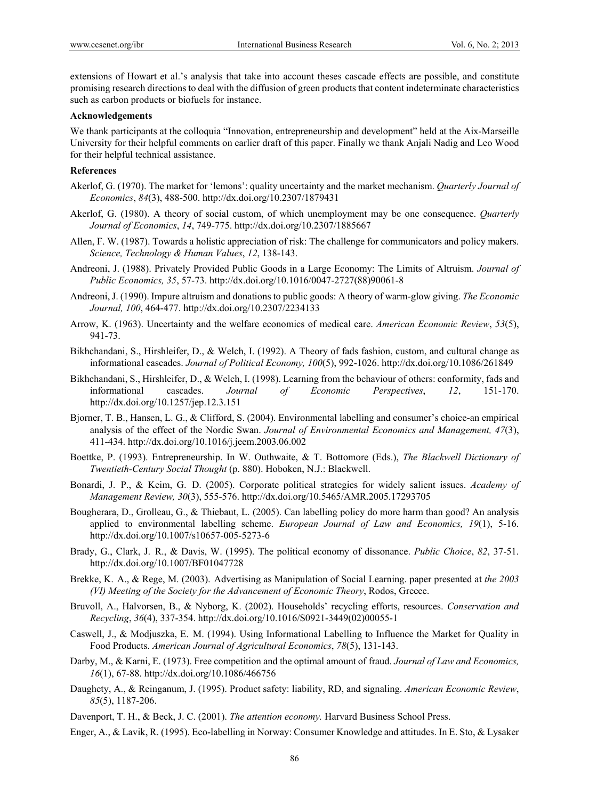extensions of Howart et al.'s analysis that take into account theses cascade effects are possible, and constitute promising research directions to deal with the diffusion of green products that content indeterminate characteristics such as carbon products or biofuels for instance.

#### **Acknowledgements**

We thank participants at the colloquia "Innovation, entrepreneurship and development" held at the Aix-Marseille University for their helpful comments on earlier draft of this paper. Finally we thank Anjali Nadig and Leo Wood for their helpful technical assistance.

#### **References**

- Akerlof, G. (1970). The market for 'lemons': quality uncertainty and the market mechanism. *Quarterly Journal of Economics*, *84*(3), 488-500. http://dx.doi.org/10.2307/1879431
- Akerlof, G. (1980). A theory of social custom, of which unemployment may be one consequence. *Quarterly Journal of Economics*, *14*, 749-775. http://dx.doi.org/10.2307/1885667
- Allen, F. W. (1987). Towards a holistic appreciation of risk: The challenge for communicators and policy makers. *Science, Technology & Human Values*, *12*, 138-143.
- Andreoni, J. (1988). Privately Provided Public Goods in a Large Economy: The Limits of Altruism. *Journal of Public Economics, 35*, 57-73. http://dx.doi.org/10.1016/0047-2727(88)90061-8
- Andreoni, J. (1990). Impure altruism and donations to public goods: A theory of warm-glow giving. *The Economic Journal, 100*, 464-477. http://dx.doi.org/10.2307/2234133
- Arrow, K. (1963). Uncertainty and the welfare economics of medical care. *American Economic Review*, *53*(5), 941-73.
- Bikhchandani, S., Hirshleifer, D., & Welch, I. (1992). A Theory of fads fashion, custom, and cultural change as informational cascades. *Journal of Political Economy, 100*(5), 992-1026. http://dx.doi.org/10.1086/261849
- Bikhchandani, S., Hirshleifer, D., & Welch, I. (1998). Learning from the behaviour of others: conformity, fads and informational cascades. *Journal of Economic Perspectives*, *12*, 151-170. http://dx.doi.org/10.1257/jep.12.3.151
- Bjorner, T. B., Hansen, L. G., & Clifford, S. (2004). Environmental labelling and consumer's choice-an empirical analysis of the effect of the Nordic Swan. *Journal of Environmental Economics and Management, 47*(3), 411-434. http://dx.doi.org/10.1016/j.jeem.2003.06.002
- Boettke, P. (1993). Entrepreneurship. In W. Outhwaite, & T. Bottomore (Eds.), *The Blackwell Dictionary of Twentieth-Century Social Thought* (p. 880). Hoboken, N.J.: Blackwell.
- Bonardi, J. P., & Keim, G. D. (2005). Corporate political strategies for widely salient issues. *Academy of Management Review, 30*(3), 555-576. http://dx.doi.org/10.5465/AMR.2005.17293705
- Bougherara, D., Grolleau, G., & Thiebaut, L. (2005). Can labelling policy do more harm than good? An analysis applied to environmental labelling scheme. *European Journal of Law and Economics, 19*(1), 5-16. http://dx.doi.org/10.1007/s10657-005-5273-6
- Brady, G., Clark, J. R., & Davis, W. (1995). The political economy of dissonance. *Public Choice*, *82*, 37-51. http://dx.doi.org/10.1007/BF01047728
- Brekke, K. A., & Rege, M. (2003). Advertising as Manipulation of Social Learning. paper presented at *the 2003 (VI) Meeting of the Society for the Advancement of Economic Theory*, Rodos, Greece.
- Bruvoll, A., Halvorsen, B., & Nyborg, K. (2002). Households' recycling efforts, resources. *Conservation and Recycling*, *36*(4), 337-354. http://dx.doi.org/10.1016/S0921-3449(02)00055-1
- Caswell, J., & Modjuszka, E. M. (1994). Using Informational Labelling to Influence the Market for Quality in Food Products. *American Journal of Agricultural Economics*, *78*(5), 131-143.
- Darby, M., & Karni, E. (1973). Free competition and the optimal amount of fraud. *Journal of Law and Economics, 16*(1), 67-88. http://dx.doi.org/10.1086/466756
- Daughety, A., & Reinganum, J. (1995). Product safety: liability, RD, and signaling. *American Economic Review*, *85*(5), 1187-206.
- Davenport, T. H., & Beck, J. C. (2001). *The attention economy.* Harvard Business School Press.
- Enger, A., & Lavik, R. (1995). Eco-labelling in Norway: Consumer Knowledge and attitudes. In E. Sto, & Lysaker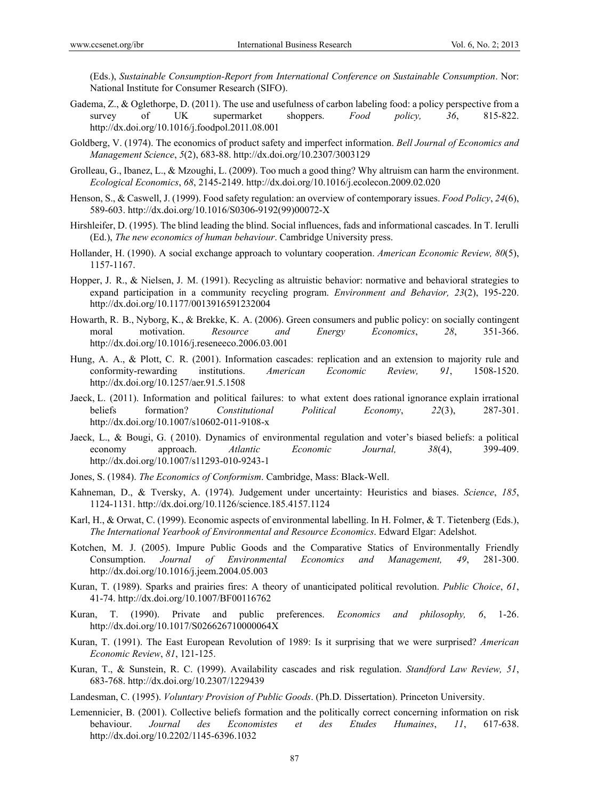(Eds.), *Sustainable Consumption-Report from International Conference on Sustainable Consumption*. Nor: National Institute for Consumer Research (SIFO).

- Gadema, Z., & Oglethorpe, D. (2011). The use and usefulness of carbon labeling food: a policy perspective from a survey of UK supermarket shoppers. *Food policy, 36*, 815-822. http://dx.doi.org/10.1016/j.foodpol.2011.08.001
- Goldberg, V. (1974). The economics of product safety and imperfect information. *Bell Journal of Economics and Management Science*, *5*(2), 683-88. http://dx.doi.org/10.2307/3003129
- Grolleau, G., Ibanez, L., & Mzoughi, L. (2009). Too much a good thing? Why altruism can harm the environment. *Ecological Economics*, *68*, 2145-2149. http://dx.doi.org/10.1016/j.ecolecon.2009.02.020
- Henson, S., & Caswell, J. (1999). Food safety regulation: an overview of contemporary issues. *Food Policy*, *24*(6), 589-603. http://dx.doi.org/10.1016/S0306-9192(99)00072-X
- Hirshleifer, D. (1995). The blind leading the blind. Social influences, fads and informational cascades. In T. Ierulli (Ed.), *The new economics of human behaviour*. Cambridge University press.
- Hollander, H. (1990). A social exchange approach to voluntary cooperation. *American Economic Review, 80*(5), 1157-1167.
- Hopper, J. R., & Nielsen, J. M. (1991). Recycling as altruistic behavior: normative and behavioral strategies to expand participation in a community recycling program. *Environment and Behavior, 23*(2), 195-220. http://dx.doi.org/10.1177/0013916591232004
- Howarth, R. B., Nyborg, K., & Brekke, K. A. (2006). Green consumers and public policy: on socially contingent moral motivation. *Resource and Energy Economics*, *28*, 351-366. http://dx.doi.org/10.1016/j.reseneeco.2006.03.001
- Hung, A. A., & Plott, C. R. (2001). Information cascades: replication and an extension to majority rule and conformity-rewarding institutions. *American Economic Review, 91*, 1508-1520. http://dx.doi.org/10.1257/aer.91.5.1508
- Jaeck, L. (2011). Information and political failures: to what extent does rational ignorance explain irrational beliefs formation? *Constitutional Political Economy*, *22*(3), 287-301. http://dx.doi.org/10.1007/s10602-011-9108-x
- Jaeck, L., & Bougi, G. ( 2010). Dynamics of environmental regulation and voter's biased beliefs: a political economy approach. *Atlantic Economic Journal, 38*(4), 399-409. http://dx.doi.org/10.1007/s11293-010-9243-1
- Jones, S. (1984). *The Economics of Conformism*. Cambridge, Mass: Black-Well.
- Kahneman, D., & Tversky, A. (1974). Judgement under uncertainty: Heuristics and biases. *Science*, *185*, 1124-1131. http://dx.doi.org/10.1126/science.185.4157.1124
- Karl, H., & Orwat, C. (1999). Economic aspects of environmental labelling. In H. Folmer, & T. Tietenberg (Eds.), *The International Yearbook of Environmental and Resource Economics*. Edward Elgar: Adelshot.
- Kotchen, M. J. (2005). Impure Public Goods and the Comparative Statics of Environmentally Friendly Consumption. *Journal of Environmental Economics and Management, 49*, 281-300. http://dx.doi.org/10.1016/j.jeem.2004.05.003
- Kuran, T. (1989). Sparks and prairies fires: A theory of unanticipated political revolution. *Public Choice*, *61*, 41-74. http://dx.doi.org/10.1007/BF00116762
- Kuran, T. (1990). Private and public preferences. *Economics and philosophy, 6*, 1-26. http://dx.doi.org/10.1017/S026626710000064X
- Kuran, T. (1991). The East European Revolution of 1989: Is it surprising that we were surprised? *American Economic Review*, *81*, 121-125.
- Kuran, T., & Sunstein, R. C. (1999). Availability cascades and risk regulation. *Standford Law Review, 51*, 683-768. http://dx.doi.org/10.2307/1229439
- Landesman, C. (1995). *Voluntary Provision of Public Goods*. (Ph.D. Dissertation). Princeton University.
- Lemennicier, B. (2001). Collective beliefs formation and the politically correct concerning information on risk behaviour. *Journal des Economistes et des Etudes Humaines*, *11*, 617-638. http://dx.doi.org/10.2202/1145-6396.1032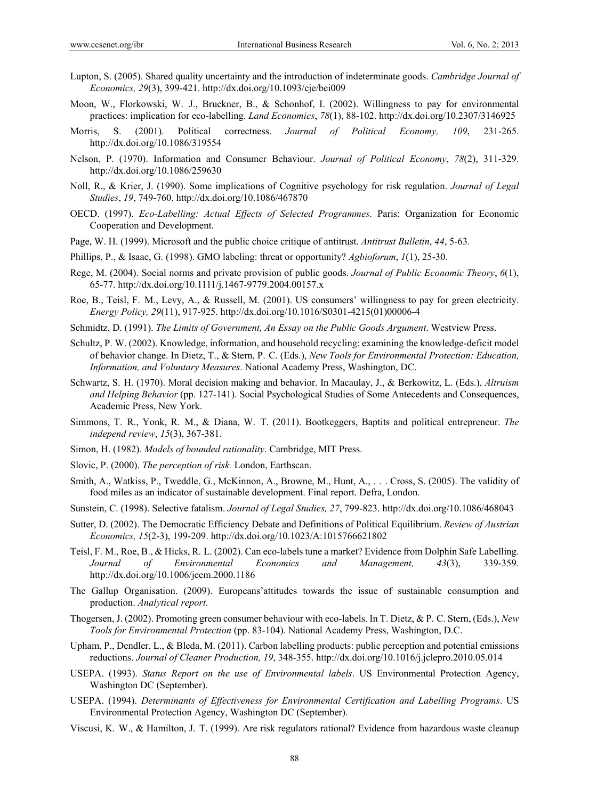- Lupton, S. (2005). Shared quality uncertainty and the introduction of indeterminate goods. *Cambridge Journal of Economics, 29*(3), 399-421. http://dx.doi.org/10.1093/cje/bei009
- Moon, W., Florkowski, W. J., Bruckner, B., & Schonhof, I. (2002). Willingness to pay for environmental practices: implication for eco-labelling. *Land Economics*, *78*(1), 88-102. http://dx.doi.org/10.2307/3146925
- Morris, S. (2001). Political correctness. *Journal of Political Economy, 109*, 231-265. http://dx.doi.org/10.1086/319554
- Nelson, P. (1970). Information and Consumer Behaviour. *Journal of Political Economy*, *78*(2), 311-329. http://dx.doi.org/10.1086/259630
- Noll, R., & Krier, J. (1990). Some implications of Cognitive psychology for risk regulation. *Journal of Legal Studies*, *19*, 749-760. http://dx.doi.org/10.1086/467870
- OECD. (1997). *Eco-Labelling: Actual Effects of Selected Programmes*. Paris: Organization for Economic Cooperation and Development.
- Page, W. H. (1999). Microsoft and the public choice critique of antitrust. *Antitrust Bulletin*, *44*, 5-63.
- Phillips, P., & Isaac, G. (1998). GMO labeling: threat or opportunity? *Agbioforum*, *1*(1), 25-30.
- Rege, M. (2004). Social norms and private provision of public goods. *Journal of Public Economic Theory*, *6*(1), 65-77. http://dx.doi.org/10.1111/j.1467-9779.2004.00157.x
- Roe, B., Teisl, F. M., Levy, A., & Russell, M. (2001). US consumers' willingness to pay for green electricity. *Energy Policy, 29*(11), 917-925. http://dx.doi.org/10.1016/S0301-4215(01)00006-4
- Schmidtz, D. (1991). *The Limits of Government, An Essay on the Public Goods Argument*. Westview Press.
- Schultz, P. W. (2002). Knowledge, information, and household recycling: examining the knowledge-deficit model of behavior change. In Dietz, T., & Stern, P. C. (Eds.), *New Tools for Environmental Protection: Education, Information, and Voluntary Measures*. National Academy Press, Washington, DC.
- Schwartz, S. H. (1970). Moral decision making and behavior. In Macaulay, J., & Berkowitz, L. (Eds.), *Altruism and Helping Behavior* (pp. 127-141). Social Psychological Studies of Some Antecedents and Consequences, Academic Press, New York.
- Simmons, T. R., Yonk, R. M., & Diana, W. T. (2011). Bootkeggers, Baptits and political entrepreneur. *The independ review*, *15*(3), 367-381.
- Simon, H. (1982). *Models of bounded rationality*. Cambridge, MIT Press.
- Slovic, P. (2000). *The perception of risk.* London, Earthscan.
- Smith, A., Watkiss, P., Tweddle, G., McKinnon, A., Browne, M., Hunt, A., . . . Cross, S. (2005). The validity of food miles as an indicator of sustainable development. Final report. Defra, London.
- Sunstein, C. (1998). Selective fatalism. *Journal of Legal Studies, 27*, 799-823. http://dx.doi.org/10.1086/468043
- Sutter, D. (2002). The Democratic Efficiency Debate and Definitions of Political Equilibrium. *Review of Austrian Economics, 15*(2-3), 199-209. http://dx.doi.org/10.1023/A:1015766621802
- Teisl, F. M., Roe, B., & Hicks, R. L. (2002). Can eco-labels tune a market? Evidence from Dolphin Safe Labelling. *Journal of Environmental Economics and Management, 43*(3), 339-359. http://dx.doi.org/10.1006/jeem.2000.1186
- The Gallup Organisation. (2009). Europeans'attitudes towards the issue of sustainable consumption and production. *Analytical report*.
- Thogersen, J. (2002). Promoting green consumer behaviour with eco-labels. In T. Dietz, & P. C. Stern, (Eds.), *New Tools for Environmental Protection* (pp. 83-104). National Academy Press, Washington, D.C.
- Upham, P., Dendler, L., & Bleda, M. (2011). Carbon labelling products: public perception and potential emissions reductions. *Journal of Cleaner Production, 19*, 348-355. http://dx.doi.org/10.1016/j.jclepro.2010.05.014
- USEPA. (1993). *Status Report on the use of Environmental labels*. US Environmental Protection Agency, Washington DC (September).
- USEPA. (1994). *Determinants of Effectiveness for Environmental Certification and Labelling Programs*. US Environmental Protection Agency, Washington DC (September).
- Viscusi, K. W., & Hamilton, J. T. (1999). Are risk regulators rational? Evidence from hazardous waste cleanup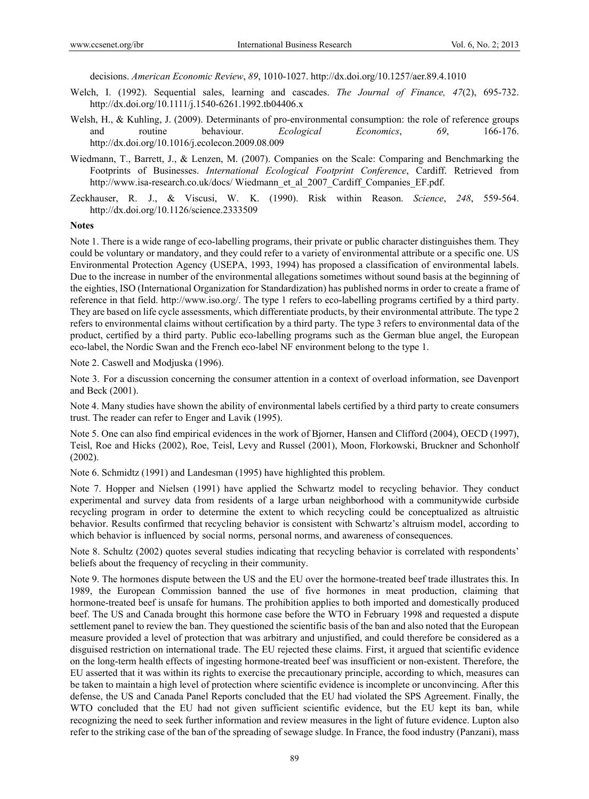decisions. *American Economic Review*, *89*, 1010-1027. http://dx.doi.org/10.1257/aer.89.4.1010

- Welch, I. (1992). Sequential sales, learning and cascades. *The Journal of Finance, 47*(2), 695-732. http://dx.doi.org/10.1111/j.1540-6261.1992.tb04406.x
- Welsh, H., & Kuhling, J. (2009). Determinants of pro-environmental consumption: the role of reference groups and routine behaviour. *Ecological Economics*, *69*, 166-176. http://dx.doi.org/10.1016/j.ecolecon.2009.08.009
- Wiedmann, T., Barrett, J., & Lenzen, M. (2007). Companies on the Scale: Comparing and Benchmarking the Footprints of Businesses. *International Ecological Footprint Conference*, Cardiff. Retrieved from http://www.isa-research.co.uk/docs/ Wiedmann\_et\_al\_2007\_Cardiff\_Companies\_EF.pdf.
- Zeckhauser, R. J., & Viscusi, W. K. (1990). Risk within Reason. *Science*, *248*, 559-564. http://dx.doi.org/10.1126/science.2333509

#### **Notes**

Note 1. There is a wide range of eco-labelling programs, their private or public character distinguishes them. They could be voluntary or mandatory, and they could refer to a variety of environmental attribute or a specific one. US Environmental Protection Agency (USEPA, 1993, 1994) has proposed a classification of environmental labels. Due to the increase in number of the environmental allegations sometimes without sound basis at the beginning of the eighties, ISO (International Organization for Standardization) has published norms in order to create a frame of reference in that field. http://www.iso.org/. The type 1 refers to eco-labelling programs certified by a third party. They are based on life cycle assessments, which differentiate products, by their environmental attribute. The type 2 refers to environmental claims without certification by a third party. The type 3 refers to environmental data of the product, certified by a third party. Public eco-labelling programs such as the German blue angel, the European eco-label, the Nordic Swan and the French eco-label NF environment belong to the type 1.

Note 2. Caswell and Modjuska (1996).

Note 3. For a discussion concerning the consumer attention in a context of overload information, see Davenport and Beck (2001).

Note 4. Many studies have shown the ability of environmental labels certified by a third party to create consumers trust. The reader can refer to Enger and Lavik (1995).

Note 5. One can also find empirical evidences in the work of Bjorner, Hansen and Clifford (2004), OECD (1997), Teisl, Roe and Hicks (2002), Roe, Teisl, Levy and Russel (2001), Moon, Florkowski, Bruckner and Schonholf (2002).

Note 6. Schmidtz (1991) and Landesman (1995) have highlighted this problem.

Note 7. Hopper and Nielsen (1991) have applied the Schwartz model to recycling behavior. They conduct experimental and survey data from residents of a large urban neighborhood with a communitywide curbside recycling program in order to determine the extent to which recycling could be conceptualized as altruistic behavior. Results confirmed that recycling behavior is consistent with Schwartz's altruism model, according to which behavior is influenced by social norms, personal norms, and awareness of consequences.

Note 8. Schultz (2002) quotes several studies indicating that recycling behavior is correlated with respondents' beliefs about the frequency of recycling in their community.

Note 9. The hormones dispute between the US and the EU over the hormone-treated beef trade illustrates this. In 1989, the European Commission banned the use of five hormones in meat production, claiming that hormone-treated beef is unsafe for humans. The prohibition applies to both imported and domestically produced beef. The US and Canada brought this hormone case before the WTO in February 1998 and requested a dispute settlement panel to review the ban. They questioned the scientific basis of the ban and also noted that the European measure provided a level of protection that was arbitrary and unjustified, and could therefore be considered as a disguised restriction on international trade. The EU rejected these claims. First, it argued that scientific evidence on the long-term health effects of ingesting hormone-treated beef was insufficient or non-existent. Therefore, the EU asserted that it was within its rights to exercise the precautionary principle, according to which, measures can be taken to maintain a high level of protection where scientific evidence is incomplete or unconvincing. After this defense, the US and Canada Panel Reports concluded that the EU had violated the SPS Agreement. Finally, the WTO concluded that the EU had not given sufficient scientific evidence, but the EU kept its ban, while recognizing the need to seek further information and review measures in the light of future evidence. Lupton also refer to the striking case of the ban of the spreading of sewage sludge. In France, the food industry (Panzani), mass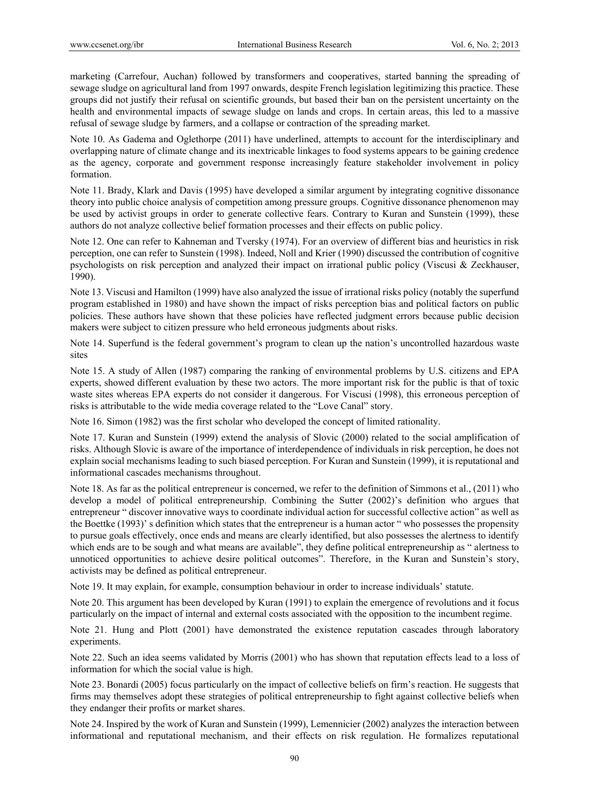marketing (Carrefour, Auchan) followed by transformers and cooperatives, started banning the spreading of sewage sludge on agricultural land from 1997 onwards, despite French legislation legitimizing this practice. These groups did not justify their refusal on scientific grounds, but based their ban on the persistent uncertainty on the health and environmental impacts of sewage sludge on lands and crops. In certain areas, this led to a massive refusal of sewage sludge by farmers, and a collapse or contraction of the spreading market.

Note 10. As Gadema and Oglethorpe (2011) have underlined, attempts to account for the interdisciplinary and overlapping nature of climate change and its inextricable linkages to food systems appears to be gaining credence as the agency, corporate and government response increasingly feature stakeholder involvement in policy formation.

Note 11. Brady, Klark and Davis (1995) have developed a similar argument by integrating cognitive dissonance theory into public choice analysis of competition among pressure groups. Cognitive dissonance phenomenon may be used by activist groups in order to generate collective fears. Contrary to Kuran and Sunstein (1999), these authors do not analyze collective belief formation processes and their effects on public policy.

Note 12. One can refer to Kahneman and Tversky (1974). For an overview of different bias and heuristics in risk perception, one can refer to Sunstein (1998). Indeed, Noll and Krier (1990) discussed the contribution of cognitive psychologists on risk perception and analyzed their impact on irrational public policy (Viscusi & Zeckhauser, 1990).

Note 13. Viscusi and Hamilton (1999) have also analyzed the issue of irrational risks policy (notably the superfund program established in 1980) and have shown the impact of risks perception bias and political factors on public policies. These authors have shown that these policies have reflected judgment errors because public decision makers were subject to citizen pressure who held erroneous judgments about risks.

Note 14. Superfund is the federal government's program to clean up the nation's uncontrolled hazardous waste sites

Note 15. A study of Allen (1987) comparing the ranking of environmental problems by U.S. citizens and EPA experts, showed different evaluation by these two actors. The more important risk for the public is that of toxic waste sites whereas EPA experts do not consider it dangerous. For Viscusi (1998), this erroneous perception of risks is attributable to the wide media coverage related to the "Love Canal" story.

Note 16. Simon (1982) was the first scholar who developed the concept of limited rationality.

Note 17. Kuran and Sunstein (1999) extend the analysis of Slovic (2000) related to the social amplification of risks. Although Slovic is aware of the importance of interdependence of individuals in risk perception, he does not explain social mechanisms leading to such biased perception. For Kuran and Sunstein (1999), it is reputational and informational cascades mechanisms throughout.

Note 18. As far as the political entrepreneur is concerned, we refer to the definition of Simmons et al., (2011) who develop a model of political entrepreneurship. Combining the Sutter (2002)'s definition who argues that entrepreneur " discover innovative ways to coordinate individual action for successful collective action" as well as the Boettke (1993)' s definition which states that the entrepreneur is a human actor " who possesses the propensity to pursue goals effectively, once ends and means are clearly identified, but also possesses the alertness to identify which ends are to be sough and what means are available", they define political entrepreneurship as " alertness to unnoticed opportunities to achieve desire political outcomes". Therefore, in the Kuran and Sunstein's story, activists may be defined as political entrepreneur.

Note 19. It may explain, for example, consumption behaviour in order to increase individuals' statute.

Note 20. This argument has been developed by Kuran (1991) to explain the emergence of revolutions and it focus particularly on the impact of internal and external costs associated with the opposition to the incumbent regime.

Note 21. Hung and Plott (2001) have demonstrated the existence reputation cascades through laboratory experiments.

Note 22. Such an idea seems validated by Morris (2001) who has shown that reputation effects lead to a loss of information for which the social value is high.

Note 23. Bonardi (2005) focus particularly on the impact of collective beliefs on firm's reaction. He suggests that firms may themselves adopt these strategies of political entrepreneurship to fight against collective beliefs when they endanger their profits or market shares.

Note 24. Inspired by the work of Kuran and Sunstein (1999), Lemennicier (2002) analyzes the interaction between informational and reputational mechanism, and their effects on risk regulation. He formalizes reputational